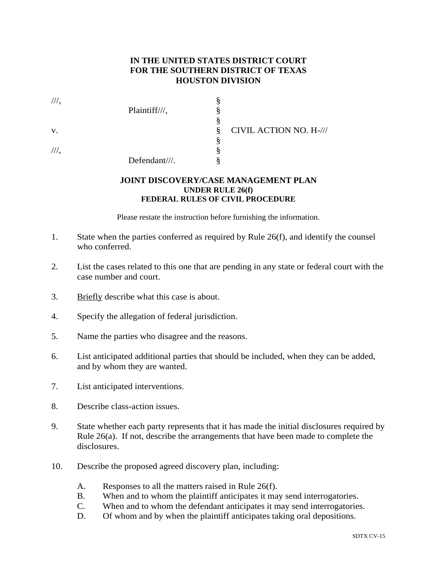## **IN THE UNITED STATES DISTRICT COURT FOR THE SOUTHERN DISTRICT OF TEXAS HOUSTON DIVISION**

| $^{\prime\prime\prime}$ . | Plaintiff///, |   |                        |
|---------------------------|---------------|---|------------------------|
|                           |               |   |                        |
| V.                        |               | 8 | CIVIL ACTION NO. H-/// |
|                           |               |   |                        |
| $^{\prime\prime\prime}$ . |               |   |                        |
|                           | Defendant///. |   |                        |

## **JOINT DISCOVERY/CASE MANAGEMENT PLAN UNDER RULE 26(f) FEDERAL RULES OF CIVIL PROCEDURE**

Please restate the instruction before furnishing the information.

- 1. State when the parties conferred as required by Rule 26(f), and identify the counsel who conferred.
- 2. List the cases related to this one that are pending in any state or federal court with the case number and court.
- 3. Briefly describe what this case is about.
- 4. Specify the allegation of federal jurisdiction.
- 5. Name the parties who disagree and the reasons.
- 6. List anticipated additional parties that should be included, when they can be added, and by whom they are wanted.
- 7. List anticipated interventions.
- 8. Describe class-action issues.
- 9. State whether each party represents that it has made the initial disclosures required by Rule 26(a). If not, describe the arrangements that have been made to complete the disclosures.
- 10. Describe the proposed agreed discovery plan, including:
	- A. Responses to all the matters raised in Rule 26(f).
	- B. When and to whom the plaintiff anticipates it may send interrogatories.
	- C. When and to whom the defendant anticipates it may send interrogatories.
	- D. Of whom and by when the plaintiff anticipates taking oral depositions.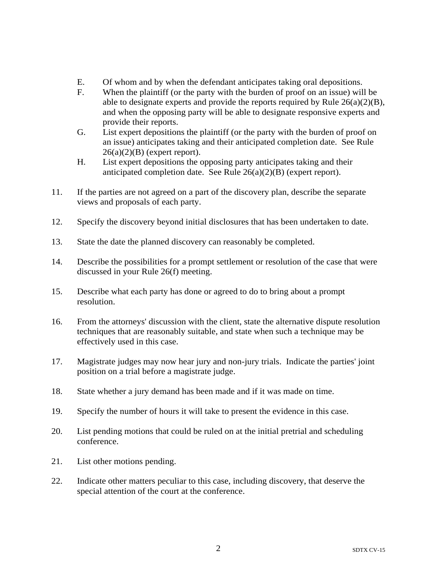- E. Of whom and by when the defendant anticipates taking oral depositions.
- F. When the plaintiff (or the party with the burden of proof on an issue) will be able to designate experts and provide the reports required by Rule 26(a)(2)(B), and when the opposing party will be able to designate responsive experts and provide their reports.
- G. List expert depositions the plaintiff (or the party with the burden of proof on an issue) anticipates taking and their anticipated completion date. See Rule  $26(a)(2)(B)$  (expert report).
- H. List expert depositions the opposing party anticipates taking and their anticipated completion date. See Rule 26(a)(2)(B) (expert report).
- 11. If the parties are not agreed on a part of the discovery plan, describe the separate views and proposals of each party.
- 12. Specify the discovery beyond initial disclosures that has been undertaken to date.
- 13. State the date the planned discovery can reasonably be completed.
- 14. Describe the possibilities for a prompt settlement or resolution of the case that were discussed in your Rule 26(f) meeting.
- 15. Describe what each party has done or agreed to do to bring about a prompt resolution.
- 16. From the attorneys' discussion with the client, state the alternative dispute resolution techniques that are reasonably suitable, and state when such a technique may be effectively used in this case.
- 17. Magistrate judges may now hear jury and non-jury trials. Indicate the parties' joint position on a trial before a magistrate judge.
- 18. State whether a jury demand has been made and if it was made on time.
- 19. Specify the number of hours it will take to present the evidence in this case.
- 20. List pending motions that could be ruled on at the initial pretrial and scheduling conference.
- 21. List other motions pending.
- 22. Indicate other matters peculiar to this case, including discovery, that deserve the special attention of the court at the conference.